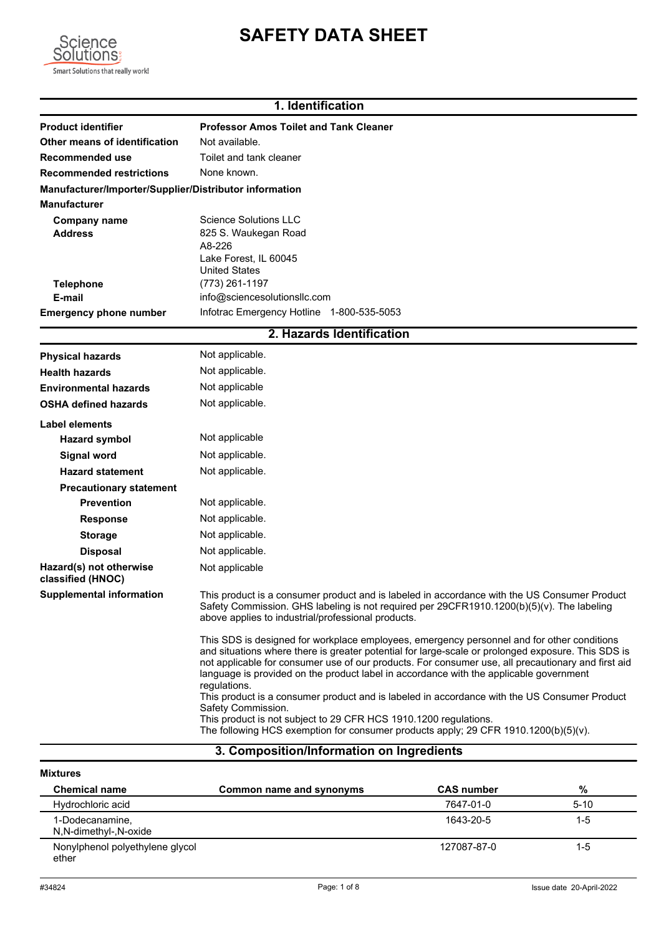



## **1. Identification**

| <b>Product identifier</b>                              | <b>Professor Amos Toilet and Tank Cleaner</b>                                                                                                                                                                                                                                                                                                                                                                                                                                                                                                                                                              |
|--------------------------------------------------------|------------------------------------------------------------------------------------------------------------------------------------------------------------------------------------------------------------------------------------------------------------------------------------------------------------------------------------------------------------------------------------------------------------------------------------------------------------------------------------------------------------------------------------------------------------------------------------------------------------|
| Other means of identification                          | Not available.                                                                                                                                                                                                                                                                                                                                                                                                                                                                                                                                                                                             |
| Recommended use                                        | Toilet and tank cleaner                                                                                                                                                                                                                                                                                                                                                                                                                                                                                                                                                                                    |
| <b>Recommended restrictions</b>                        | None known.                                                                                                                                                                                                                                                                                                                                                                                                                                                                                                                                                                                                |
| Manufacturer/Importer/Supplier/Distributor information |                                                                                                                                                                                                                                                                                                                                                                                                                                                                                                                                                                                                            |
| <b>Manufacturer</b>                                    |                                                                                                                                                                                                                                                                                                                                                                                                                                                                                                                                                                                                            |
| Company name                                           | Science Solutions LLC                                                                                                                                                                                                                                                                                                                                                                                                                                                                                                                                                                                      |
| Address                                                | 825 S. Waukegan Road<br>A8-226                                                                                                                                                                                                                                                                                                                                                                                                                                                                                                                                                                             |
|                                                        | Lake Forest, IL 60045                                                                                                                                                                                                                                                                                                                                                                                                                                                                                                                                                                                      |
|                                                        | <b>United States</b>                                                                                                                                                                                                                                                                                                                                                                                                                                                                                                                                                                                       |
| <b>Telephone</b>                                       | (773) 261-1197                                                                                                                                                                                                                                                                                                                                                                                                                                                                                                                                                                                             |
| E-mail                                                 | info@sciencesolutionsllc.com                                                                                                                                                                                                                                                                                                                                                                                                                                                                                                                                                                               |
| <b>Emergency phone number</b>                          | Infotrac Emergency Hotline 1-800-535-5053                                                                                                                                                                                                                                                                                                                                                                                                                                                                                                                                                                  |
|                                                        | 2. Hazards Identification                                                                                                                                                                                                                                                                                                                                                                                                                                                                                                                                                                                  |
| <b>Physical hazards</b>                                | Not applicable.                                                                                                                                                                                                                                                                                                                                                                                                                                                                                                                                                                                            |
| <b>Health hazards</b>                                  | Not applicable.                                                                                                                                                                                                                                                                                                                                                                                                                                                                                                                                                                                            |
| <b>Environmental hazards</b>                           | Not applicable                                                                                                                                                                                                                                                                                                                                                                                                                                                                                                                                                                                             |
| <b>OSHA defined hazards</b>                            | Not applicable.                                                                                                                                                                                                                                                                                                                                                                                                                                                                                                                                                                                            |
| Label elements                                         |                                                                                                                                                                                                                                                                                                                                                                                                                                                                                                                                                                                                            |
| <b>Hazard symbol</b>                                   | Not applicable                                                                                                                                                                                                                                                                                                                                                                                                                                                                                                                                                                                             |
| <b>Signal word</b>                                     | Not applicable.                                                                                                                                                                                                                                                                                                                                                                                                                                                                                                                                                                                            |
| <b>Hazard statement</b>                                | Not applicable.                                                                                                                                                                                                                                                                                                                                                                                                                                                                                                                                                                                            |
| <b>Precautionary statement</b>                         |                                                                                                                                                                                                                                                                                                                                                                                                                                                                                                                                                                                                            |
| <b>Prevention</b>                                      | Not applicable.                                                                                                                                                                                                                                                                                                                                                                                                                                                                                                                                                                                            |
| <b>Response</b>                                        | Not applicable.                                                                                                                                                                                                                                                                                                                                                                                                                                                                                                                                                                                            |
| <b>Storage</b>                                         | Not applicable.                                                                                                                                                                                                                                                                                                                                                                                                                                                                                                                                                                                            |
| <b>Disposal</b>                                        | Not applicable.                                                                                                                                                                                                                                                                                                                                                                                                                                                                                                                                                                                            |
| Hazard(s) not otherwise<br>classified (HNOC)           | Not applicable                                                                                                                                                                                                                                                                                                                                                                                                                                                                                                                                                                                             |
| <b>Supplemental information</b>                        | This product is a consumer product and is labeled in accordance with the US Consumer Product<br>Safety Commission. GHS labeling is not required per 29CFR1910.1200(b)(5)(v). The labeling<br>above applies to industrial/professional products.                                                                                                                                                                                                                                                                                                                                                            |
|                                                        | This SDS is designed for workplace employees, emergency personnel and for other conditions<br>and situations where there is greater potential for large-scale or prolonged exposure. This SDS is<br>not applicable for consumer use of our products. For consumer use, all precautionary and first aid<br>language is provided on the product label in accordance with the applicable government<br>regulations.<br>This product is a consumer product and is labeled in accordance with the US Consumer Product<br>Safety Commission.<br>This product is not subject to 29 CFR HCS 1910.1200 regulations. |
|                                                        | The following HCS exemption for consumer products apply; 29 CFR 1910.1200(b)(5)(v).                                                                                                                                                                                                                                                                                                                                                                                                                                                                                                                        |

## **3. Composition/Information on Ingredients**

| <b>Mixtures</b>                          |                          |                   |          |
|------------------------------------------|--------------------------|-------------------|----------|
| <b>Chemical name</b>                     | Common name and synonyms | <b>CAS</b> number | %        |
| Hydrochloric acid                        |                          | 7647-01-0         | $5 - 10$ |
| 1-Dodecanamine,<br>N,N-dimethyl-,N-oxide |                          | 1643-20-5         | $1-5$    |
| Nonylphenol polyethylene glycol<br>ether |                          | 127087-87-0       | $1-5$    |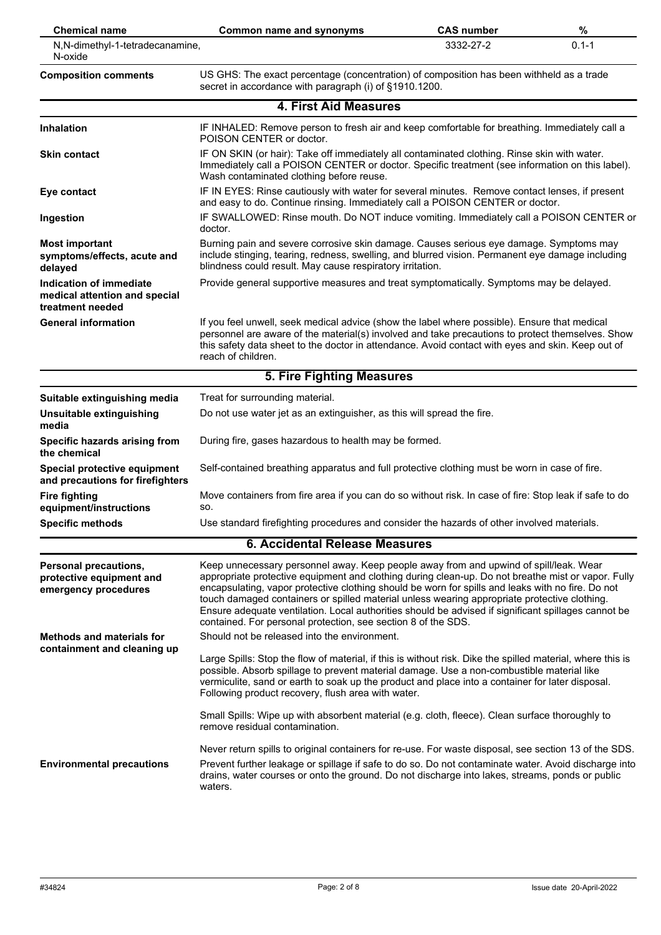| <b>Chemical name</b>                                                         | <b>Common name and synonyms</b>                                                                                                                                                                                                                                                                                                                                                                                                                                                                                                                                          | <b>CAS number</b> | %         |
|------------------------------------------------------------------------------|--------------------------------------------------------------------------------------------------------------------------------------------------------------------------------------------------------------------------------------------------------------------------------------------------------------------------------------------------------------------------------------------------------------------------------------------------------------------------------------------------------------------------------------------------------------------------|-------------------|-----------|
| N,N-dimethyl-1-tetradecanamine,<br>N-oxide                                   |                                                                                                                                                                                                                                                                                                                                                                                                                                                                                                                                                                          | 3332-27-2         | $0.1 - 1$ |
| <b>Composition comments</b>                                                  | US GHS: The exact percentage (concentration) of composition has been withheld as a trade<br>secret in accordance with paragraph (i) of §1910.1200.                                                                                                                                                                                                                                                                                                                                                                                                                       |                   |           |
|                                                                              | <b>4. First Aid Measures</b>                                                                                                                                                                                                                                                                                                                                                                                                                                                                                                                                             |                   |           |
| <b>Inhalation</b>                                                            | IF INHALED: Remove person to fresh air and keep comfortable for breathing. Immediately call a<br>POISON CENTER or doctor.                                                                                                                                                                                                                                                                                                                                                                                                                                                |                   |           |
| <b>Skin contact</b>                                                          | IF ON SKIN (or hair): Take off immediately all contaminated clothing. Rinse skin with water.<br>Immediately call a POISON CENTER or doctor. Specific treatment (see information on this label).<br>Wash contaminated clothing before reuse.                                                                                                                                                                                                                                                                                                                              |                   |           |
| Eye contact                                                                  | IF IN EYES: Rinse cautiously with water for several minutes. Remove contact lenses, if present<br>and easy to do. Continue rinsing. Immediately call a POISON CENTER or doctor.                                                                                                                                                                                                                                                                                                                                                                                          |                   |           |
| Ingestion                                                                    | IF SWALLOWED: Rinse mouth. Do NOT induce vomiting. Immediately call a POISON CENTER or<br>doctor.                                                                                                                                                                                                                                                                                                                                                                                                                                                                        |                   |           |
| <b>Most important</b><br>symptoms/effects, acute and<br>delayed              | Burning pain and severe corrosive skin damage. Causes serious eye damage. Symptoms may<br>include stinging, tearing, redness, swelling, and blurred vision. Permanent eye damage including<br>blindness could result. May cause respiratory irritation.                                                                                                                                                                                                                                                                                                                  |                   |           |
| Indication of immediate<br>medical attention and special<br>treatment needed | Provide general supportive measures and treat symptomatically. Symptoms may be delayed.                                                                                                                                                                                                                                                                                                                                                                                                                                                                                  |                   |           |
| <b>General information</b>                                                   | If you feel unwell, seek medical advice (show the label where possible). Ensure that medical<br>personnel are aware of the material(s) involved and take precautions to protect themselves. Show<br>this safety data sheet to the doctor in attendance. Avoid contact with eyes and skin. Keep out of<br>reach of children.                                                                                                                                                                                                                                              |                   |           |
|                                                                              | 5. Fire Fighting Measures                                                                                                                                                                                                                                                                                                                                                                                                                                                                                                                                                |                   |           |
| Suitable extinguishing media                                                 | Treat for surrounding material.                                                                                                                                                                                                                                                                                                                                                                                                                                                                                                                                          |                   |           |
| Unsuitable extinguishing<br>media                                            | Do not use water jet as an extinguisher, as this will spread the fire.                                                                                                                                                                                                                                                                                                                                                                                                                                                                                                   |                   |           |
| Specific hazards arising from<br>the chemical                                | During fire, gases hazardous to health may be formed.                                                                                                                                                                                                                                                                                                                                                                                                                                                                                                                    |                   |           |
| Special protective equipment<br>and precautions for firefighters             | Self-contained breathing apparatus and full protective clothing must be worn in case of fire.                                                                                                                                                                                                                                                                                                                                                                                                                                                                            |                   |           |
| <b>Fire fighting</b><br>equipment/instructions                               | Move containers from fire area if you can do so without risk. In case of fire: Stop leak if safe to do<br>SO.                                                                                                                                                                                                                                                                                                                                                                                                                                                            |                   |           |
| <b>Specific methods</b>                                                      | Use standard firefighting procedures and consider the hazards of other involved materials.                                                                                                                                                                                                                                                                                                                                                                                                                                                                               |                   |           |
|                                                                              | 6. Accidental Release Measures                                                                                                                                                                                                                                                                                                                                                                                                                                                                                                                                           |                   |           |
| Personal precautions,<br>protective equipment and<br>emergency procedures    | Keep unnecessary personnel away. Keep people away from and upwind of spill/leak. Wear<br>appropriate protective equipment and clothing during clean-up. Do not breathe mist or vapor. Fully<br>encapsulating, vapor protective clothing should be worn for spills and leaks with no fire. Do not<br>touch damaged containers or spilled material unless wearing appropriate protective clothing.<br>Ensure adequate ventilation. Local authorities should be advised if significant spillages cannot be<br>contained. For personal protection, see section 8 of the SDS. |                   |           |
| <b>Methods and materials for</b><br>containment and cleaning up              | Should not be released into the environment.                                                                                                                                                                                                                                                                                                                                                                                                                                                                                                                             |                   |           |
|                                                                              | Large Spills: Stop the flow of material, if this is without risk. Dike the spilled material, where this is<br>possible. Absorb spillage to prevent material damage. Use a non-combustible material like<br>vermiculite, sand or earth to soak up the product and place into a container for later disposal.<br>Following product recovery, flush area with water.                                                                                                                                                                                                        |                   |           |
|                                                                              | Small Spills: Wipe up with absorbent material (e.g. cloth, fleece). Clean surface thoroughly to<br>remove residual contamination.                                                                                                                                                                                                                                                                                                                                                                                                                                        |                   |           |
|                                                                              | Never return spills to original containers for re-use. For waste disposal, see section 13 of the SDS.                                                                                                                                                                                                                                                                                                                                                                                                                                                                    |                   |           |
| <b>Environmental precautions</b>                                             | Prevent further leakage or spillage if safe to do so. Do not contaminate water. Avoid discharge into<br>drains, water courses or onto the ground. Do not discharge into lakes, streams, ponds or public<br>waters.                                                                                                                                                                                                                                                                                                                                                       |                   |           |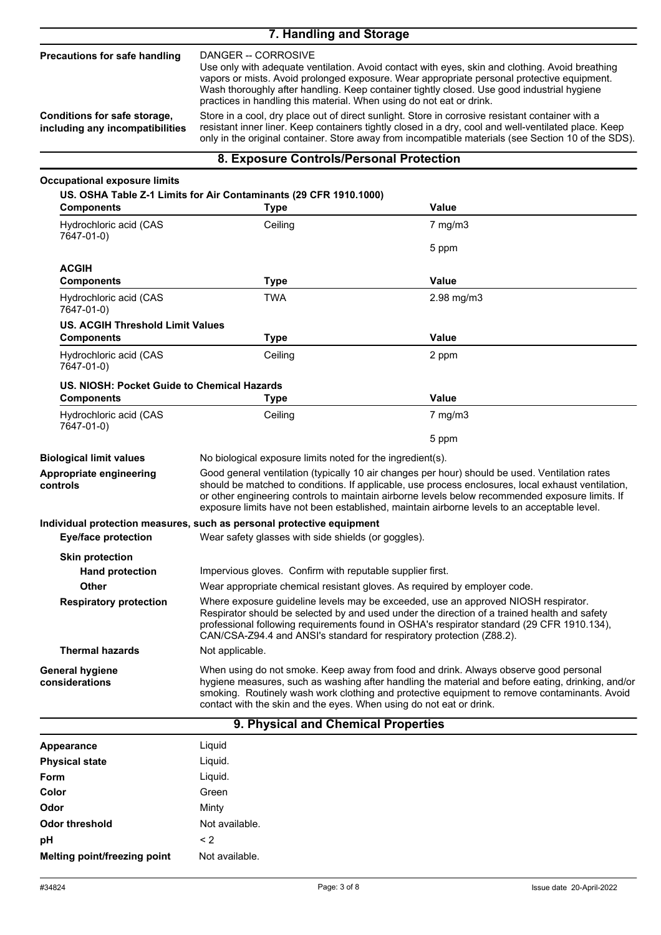### **7. Handling and Storage**

DANGER -- CORROSIVE Use only with adequate ventilation. Avoid contact with eyes, skin and clothing. Avoid breathing vapors or mists. Avoid prolonged exposure. Wear appropriate personal protective equipment. Wash thoroughly after handling. Keep container tightly closed. Use good industrial hygiene practices in handling this material. When using do not eat or drink. **Precautions for safe handling** Store in a cool, dry place out of direct sunlight. Store in corrosive resistant container with a resistant inner liner. Keep containers tightly closed in a dry, cool and well-ventilated place. Keep only in the original container. Store away from incompatible materials (see Section 10 of the SDS). **Conditions for safe storage, including any incompatibilities**

#### **8. Exposure Controls/Personal Protection**

| <b>Type</b>                                                                                                                                                                                                                                                                                                                                               | <b>Value</b>                                                                                                                                                                                                                                                                                                                                                                                                                                                                                  |
|-----------------------------------------------------------------------------------------------------------------------------------------------------------------------------------------------------------------------------------------------------------------------------------------------------------------------------------------------------------|-----------------------------------------------------------------------------------------------------------------------------------------------------------------------------------------------------------------------------------------------------------------------------------------------------------------------------------------------------------------------------------------------------------------------------------------------------------------------------------------------|
| Ceiling                                                                                                                                                                                                                                                                                                                                                   | $7$ mg/m $3$                                                                                                                                                                                                                                                                                                                                                                                                                                                                                  |
|                                                                                                                                                                                                                                                                                                                                                           | 5 ppm                                                                                                                                                                                                                                                                                                                                                                                                                                                                                         |
| Type                                                                                                                                                                                                                                                                                                                                                      | <b>Value</b>                                                                                                                                                                                                                                                                                                                                                                                                                                                                                  |
| <b>TWA</b>                                                                                                                                                                                                                                                                                                                                                | 2.98 mg/m3                                                                                                                                                                                                                                                                                                                                                                                                                                                                                    |
|                                                                                                                                                                                                                                                                                                                                                           |                                                                                                                                                                                                                                                                                                                                                                                                                                                                                               |
| <b>Type</b>                                                                                                                                                                                                                                                                                                                                               | <b>Value</b>                                                                                                                                                                                                                                                                                                                                                                                                                                                                                  |
| Ceiling                                                                                                                                                                                                                                                                                                                                                   | 2 ppm                                                                                                                                                                                                                                                                                                                                                                                                                                                                                         |
|                                                                                                                                                                                                                                                                                                                                                           |                                                                                                                                                                                                                                                                                                                                                                                                                                                                                               |
| <b>Type</b>                                                                                                                                                                                                                                                                                                                                               | Value                                                                                                                                                                                                                                                                                                                                                                                                                                                                                         |
| Ceiling                                                                                                                                                                                                                                                                                                                                                   | $7 \text{ mg/m}$ 3                                                                                                                                                                                                                                                                                                                                                                                                                                                                            |
|                                                                                                                                                                                                                                                                                                                                                           | 5 ppm                                                                                                                                                                                                                                                                                                                                                                                                                                                                                         |
|                                                                                                                                                                                                                                                                                                                                                           |                                                                                                                                                                                                                                                                                                                                                                                                                                                                                               |
|                                                                                                                                                                                                                                                                                                                                                           | Good general ventilation (typically 10 air changes per hour) should be used. Ventilation rates<br>should be matched to conditions. If applicable, use process enclosures, local exhaust ventilation,<br>or other engineering controls to maintain airborne levels below recommended exposure limits. If<br>exposure limits have not been established, maintain airborne levels to an acceptable level.                                                                                        |
|                                                                                                                                                                                                                                                                                                                                                           |                                                                                                                                                                                                                                                                                                                                                                                                                                                                                               |
|                                                                                                                                                                                                                                                                                                                                                           |                                                                                                                                                                                                                                                                                                                                                                                                                                                                                               |
|                                                                                                                                                                                                                                                                                                                                                           |                                                                                                                                                                                                                                                                                                                                                                                                                                                                                               |
|                                                                                                                                                                                                                                                                                                                                                           |                                                                                                                                                                                                                                                                                                                                                                                                                                                                                               |
|                                                                                                                                                                                                                                                                                                                                                           | Wear appropriate chemical resistant gloves. As required by employer code.                                                                                                                                                                                                                                                                                                                                                                                                                     |
| Where exposure guideline levels may be exceeded, use an approved NIOSH respirator.<br>Respirator should be selected by and used under the direction of a trained health and safety<br>professional following requirements found in OSHA's respirator standard (29 CFR 1910.134),<br>CAN/CSA-Z94.4 and ANSI's standard for respiratory protection (Z88.2). |                                                                                                                                                                                                                                                                                                                                                                                                                                                                                               |
| Not applicable.                                                                                                                                                                                                                                                                                                                                           |                                                                                                                                                                                                                                                                                                                                                                                                                                                                                               |
|                                                                                                                                                                                                                                                                                                                                                           | When using do not smoke. Keep away from food and drink. Always observe good personal<br>hygiene measures, such as washing after handling the material and before eating, drinking, and/or<br>smoking. Routinely wash work clothing and protective equipment to remove contaminants. Avoid                                                                                                                                                                                                     |
|                                                                                                                                                                                                                                                                                                                                                           | US. OSHA Table Z-1 Limits for Air Contaminants (29 CFR 1910.1000)<br><b>US. ACGIH Threshold Limit Values</b><br>US. NIOSH: Pocket Guide to Chemical Hazards<br>No biological exposure limits noted for the ingredient(s).<br>Individual protection measures, such as personal protective equipment<br>Wear safety glasses with side shields (or goggles).<br>Impervious gloves. Confirm with reputable supplier first.<br>contact with the skin and the eyes. When using do not eat or drink. |

#### **9. Physical and Chemical Properties**

| Appearance                   | Liquid         |
|------------------------------|----------------|
| <b>Physical state</b>        | Liquid.        |
| Form                         | Liquid.        |
| Color                        | Green          |
| Odor                         | Minty          |
| Odor threshold               | Not available. |
| pH                           | $\leq$ 2       |
| Melting point/freezing point | Not available. |
|                              |                |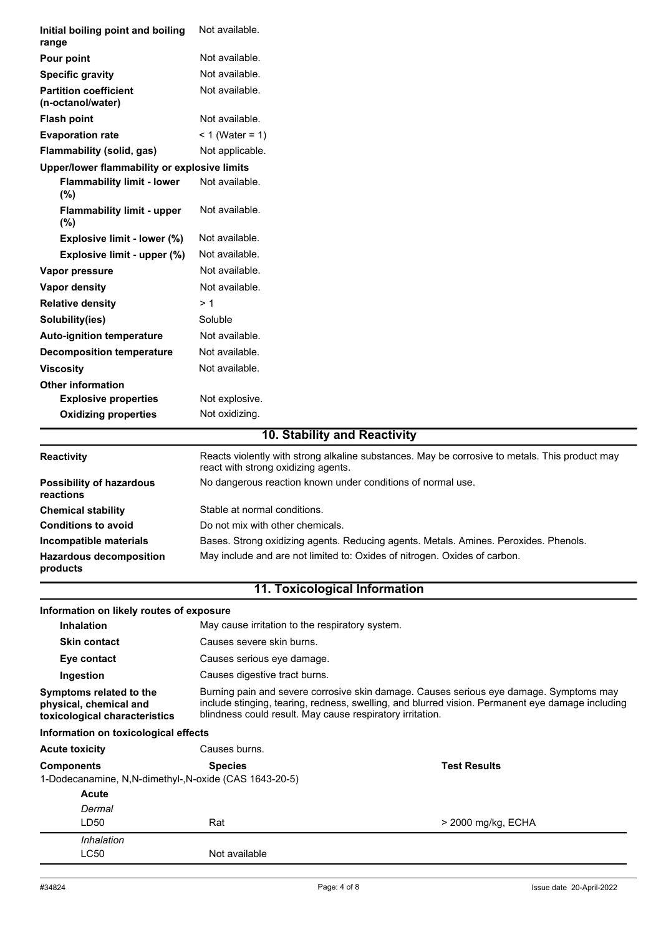| Not available.<br>Pour point<br>Not available.<br><b>Specific gravity</b><br>Not available.<br><b>Partition coefficient</b><br>(n-octanol/water)<br>Not available.<br><b>Flash point</b><br>$< 1$ (Water = 1)<br><b>Evaporation rate</b><br>Flammability (solid, gas)<br>Not applicable.<br>Upper/lower flammability or explosive limits<br>Not available.<br><b>Flammability limit - lower</b><br>(%)<br>Not available.<br><b>Flammability limit - upper</b><br>(%)<br>Not available.<br>Explosive limit - lower (%)<br>Not available.<br>Explosive limit - upper (%)<br>Not available.<br>Vapor pressure<br>Not available.<br><b>Vapor density</b><br><b>Relative density</b><br>> 1<br>Soluble<br>Solubility(ies)<br>Not available.<br><b>Auto-ignition temperature</b><br>Not available.<br><b>Decomposition temperature</b><br>Not available.<br><b>Viscosity</b><br><b>Other information</b><br><b>Explosive properties</b><br>Not explosive.<br><b>Oxidizing properties</b><br>Not oxidizing.<br>10. Stability and Reactivity<br>Reacts violently with strong alkaline substances. May be corrosive to metals. This product may<br>Reactivity<br>react with strong oxidizing agents.<br>No dangerous reaction known under conditions of normal use.<br><b>Possibility of hazardous</b><br>reactions<br>Stable at normal conditions.<br><b>Chemical stability</b><br><b>Conditions to avoid</b><br>Do not mix with other chemicals.<br>Bases. Strong oxidizing agents. Reducing agents. Metals. Amines. Peroxides. Phenols.<br>Incompatible materials<br>May include and are not limited to: Oxides of nitrogen. Oxides of carbon.<br><b>Hazardous decomposition</b><br>products<br><b>11. Toxicological Information</b><br>Information on likely routes of exposure<br><b>Inhalation</b><br>May cause irritation to the respiratory system.<br>Causes severe skin burns.<br><b>Skin contact</b><br>Causes serious eye damage.<br>Eye contact<br>Causes digestive tract burns.<br>Ingestion<br>Burning pain and severe corrosive skin damage. Causes serious eye damage. Symptoms may<br>Symptoms related to the<br>include stinging, tearing, redness, swelling, and blurred vision. Permanent eye damage including<br>physical, chemical and<br>blindness could result. May cause respiratory irritation.<br>toxicological characteristics<br>Information on toxicological effects<br>Causes burns.<br><b>Acute toxicity</b><br><b>Test Results</b><br><b>Components</b><br><b>Species</b><br>1-Dodecanamine, N,N-dimethyl-,N-oxide (CAS 1643-20-5)<br>Acute<br>Dermal<br>LD50<br>Rat<br>> 2000 mg/kg, ECHA<br>Inhalation<br>LC50<br>Not available | Initial boiling point and boiling<br>range | Not available. |  |
|------------------------------------------------------------------------------------------------------------------------------------------------------------------------------------------------------------------------------------------------------------------------------------------------------------------------------------------------------------------------------------------------------------------------------------------------------------------------------------------------------------------------------------------------------------------------------------------------------------------------------------------------------------------------------------------------------------------------------------------------------------------------------------------------------------------------------------------------------------------------------------------------------------------------------------------------------------------------------------------------------------------------------------------------------------------------------------------------------------------------------------------------------------------------------------------------------------------------------------------------------------------------------------------------------------------------------------------------------------------------------------------------------------------------------------------------------------------------------------------------------------------------------------------------------------------------------------------------------------------------------------------------------------------------------------------------------------------------------------------------------------------------------------------------------------------------------------------------------------------------------------------------------------------------------------------------------------------------------------------------------------------------------------------------------------------------------------------------------------------------------------------------------------------------------------------------------------------------------------------------------------------------------------------------------------------------------------------------------------------------------------------------------------------------------------------------------------------------------------------------------------------------------------------------------------------------------------------------------------------------------------------------------------|--------------------------------------------|----------------|--|
|                                                                                                                                                                                                                                                                                                                                                                                                                                                                                                                                                                                                                                                                                                                                                                                                                                                                                                                                                                                                                                                                                                                                                                                                                                                                                                                                                                                                                                                                                                                                                                                                                                                                                                                                                                                                                                                                                                                                                                                                                                                                                                                                                                                                                                                                                                                                                                                                                                                                                                                                                                                                                                                            |                                            |                |  |
|                                                                                                                                                                                                                                                                                                                                                                                                                                                                                                                                                                                                                                                                                                                                                                                                                                                                                                                                                                                                                                                                                                                                                                                                                                                                                                                                                                                                                                                                                                                                                                                                                                                                                                                                                                                                                                                                                                                                                                                                                                                                                                                                                                                                                                                                                                                                                                                                                                                                                                                                                                                                                                                            |                                            |                |  |
|                                                                                                                                                                                                                                                                                                                                                                                                                                                                                                                                                                                                                                                                                                                                                                                                                                                                                                                                                                                                                                                                                                                                                                                                                                                                                                                                                                                                                                                                                                                                                                                                                                                                                                                                                                                                                                                                                                                                                                                                                                                                                                                                                                                                                                                                                                                                                                                                                                                                                                                                                                                                                                                            |                                            |                |  |
|                                                                                                                                                                                                                                                                                                                                                                                                                                                                                                                                                                                                                                                                                                                                                                                                                                                                                                                                                                                                                                                                                                                                                                                                                                                                                                                                                                                                                                                                                                                                                                                                                                                                                                                                                                                                                                                                                                                                                                                                                                                                                                                                                                                                                                                                                                                                                                                                                                                                                                                                                                                                                                                            |                                            |                |  |
|                                                                                                                                                                                                                                                                                                                                                                                                                                                                                                                                                                                                                                                                                                                                                                                                                                                                                                                                                                                                                                                                                                                                                                                                                                                                                                                                                                                                                                                                                                                                                                                                                                                                                                                                                                                                                                                                                                                                                                                                                                                                                                                                                                                                                                                                                                                                                                                                                                                                                                                                                                                                                                                            |                                            |                |  |
|                                                                                                                                                                                                                                                                                                                                                                                                                                                                                                                                                                                                                                                                                                                                                                                                                                                                                                                                                                                                                                                                                                                                                                                                                                                                                                                                                                                                                                                                                                                                                                                                                                                                                                                                                                                                                                                                                                                                                                                                                                                                                                                                                                                                                                                                                                                                                                                                                                                                                                                                                                                                                                                            |                                            |                |  |
|                                                                                                                                                                                                                                                                                                                                                                                                                                                                                                                                                                                                                                                                                                                                                                                                                                                                                                                                                                                                                                                                                                                                                                                                                                                                                                                                                                                                                                                                                                                                                                                                                                                                                                                                                                                                                                                                                                                                                                                                                                                                                                                                                                                                                                                                                                                                                                                                                                                                                                                                                                                                                                                            |                                            |                |  |
|                                                                                                                                                                                                                                                                                                                                                                                                                                                                                                                                                                                                                                                                                                                                                                                                                                                                                                                                                                                                                                                                                                                                                                                                                                                                                                                                                                                                                                                                                                                                                                                                                                                                                                                                                                                                                                                                                                                                                                                                                                                                                                                                                                                                                                                                                                                                                                                                                                                                                                                                                                                                                                                            |                                            |                |  |
|                                                                                                                                                                                                                                                                                                                                                                                                                                                                                                                                                                                                                                                                                                                                                                                                                                                                                                                                                                                                                                                                                                                                                                                                                                                                                                                                                                                                                                                                                                                                                                                                                                                                                                                                                                                                                                                                                                                                                                                                                                                                                                                                                                                                                                                                                                                                                                                                                                                                                                                                                                                                                                                            |                                            |                |  |
|                                                                                                                                                                                                                                                                                                                                                                                                                                                                                                                                                                                                                                                                                                                                                                                                                                                                                                                                                                                                                                                                                                                                                                                                                                                                                                                                                                                                                                                                                                                                                                                                                                                                                                                                                                                                                                                                                                                                                                                                                                                                                                                                                                                                                                                                                                                                                                                                                                                                                                                                                                                                                                                            |                                            |                |  |
|                                                                                                                                                                                                                                                                                                                                                                                                                                                                                                                                                                                                                                                                                                                                                                                                                                                                                                                                                                                                                                                                                                                                                                                                                                                                                                                                                                                                                                                                                                                                                                                                                                                                                                                                                                                                                                                                                                                                                                                                                                                                                                                                                                                                                                                                                                                                                                                                                                                                                                                                                                                                                                                            |                                            |                |  |
|                                                                                                                                                                                                                                                                                                                                                                                                                                                                                                                                                                                                                                                                                                                                                                                                                                                                                                                                                                                                                                                                                                                                                                                                                                                                                                                                                                                                                                                                                                                                                                                                                                                                                                                                                                                                                                                                                                                                                                                                                                                                                                                                                                                                                                                                                                                                                                                                                                                                                                                                                                                                                                                            |                                            |                |  |
|                                                                                                                                                                                                                                                                                                                                                                                                                                                                                                                                                                                                                                                                                                                                                                                                                                                                                                                                                                                                                                                                                                                                                                                                                                                                                                                                                                                                                                                                                                                                                                                                                                                                                                                                                                                                                                                                                                                                                                                                                                                                                                                                                                                                                                                                                                                                                                                                                                                                                                                                                                                                                                                            |                                            |                |  |
|                                                                                                                                                                                                                                                                                                                                                                                                                                                                                                                                                                                                                                                                                                                                                                                                                                                                                                                                                                                                                                                                                                                                                                                                                                                                                                                                                                                                                                                                                                                                                                                                                                                                                                                                                                                                                                                                                                                                                                                                                                                                                                                                                                                                                                                                                                                                                                                                                                                                                                                                                                                                                                                            |                                            |                |  |
|                                                                                                                                                                                                                                                                                                                                                                                                                                                                                                                                                                                                                                                                                                                                                                                                                                                                                                                                                                                                                                                                                                                                                                                                                                                                                                                                                                                                                                                                                                                                                                                                                                                                                                                                                                                                                                                                                                                                                                                                                                                                                                                                                                                                                                                                                                                                                                                                                                                                                                                                                                                                                                                            |                                            |                |  |
|                                                                                                                                                                                                                                                                                                                                                                                                                                                                                                                                                                                                                                                                                                                                                                                                                                                                                                                                                                                                                                                                                                                                                                                                                                                                                                                                                                                                                                                                                                                                                                                                                                                                                                                                                                                                                                                                                                                                                                                                                                                                                                                                                                                                                                                                                                                                                                                                                                                                                                                                                                                                                                                            |                                            |                |  |
|                                                                                                                                                                                                                                                                                                                                                                                                                                                                                                                                                                                                                                                                                                                                                                                                                                                                                                                                                                                                                                                                                                                                                                                                                                                                                                                                                                                                                                                                                                                                                                                                                                                                                                                                                                                                                                                                                                                                                                                                                                                                                                                                                                                                                                                                                                                                                                                                                                                                                                                                                                                                                                                            |                                            |                |  |
|                                                                                                                                                                                                                                                                                                                                                                                                                                                                                                                                                                                                                                                                                                                                                                                                                                                                                                                                                                                                                                                                                                                                                                                                                                                                                                                                                                                                                                                                                                                                                                                                                                                                                                                                                                                                                                                                                                                                                                                                                                                                                                                                                                                                                                                                                                                                                                                                                                                                                                                                                                                                                                                            |                                            |                |  |
|                                                                                                                                                                                                                                                                                                                                                                                                                                                                                                                                                                                                                                                                                                                                                                                                                                                                                                                                                                                                                                                                                                                                                                                                                                                                                                                                                                                                                                                                                                                                                                                                                                                                                                                                                                                                                                                                                                                                                                                                                                                                                                                                                                                                                                                                                                                                                                                                                                                                                                                                                                                                                                                            |                                            |                |  |
|                                                                                                                                                                                                                                                                                                                                                                                                                                                                                                                                                                                                                                                                                                                                                                                                                                                                                                                                                                                                                                                                                                                                                                                                                                                                                                                                                                                                                                                                                                                                                                                                                                                                                                                                                                                                                                                                                                                                                                                                                                                                                                                                                                                                                                                                                                                                                                                                                                                                                                                                                                                                                                                            |                                            |                |  |
|                                                                                                                                                                                                                                                                                                                                                                                                                                                                                                                                                                                                                                                                                                                                                                                                                                                                                                                                                                                                                                                                                                                                                                                                                                                                                                                                                                                                                                                                                                                                                                                                                                                                                                                                                                                                                                                                                                                                                                                                                                                                                                                                                                                                                                                                                                                                                                                                                                                                                                                                                                                                                                                            |                                            |                |  |
|                                                                                                                                                                                                                                                                                                                                                                                                                                                                                                                                                                                                                                                                                                                                                                                                                                                                                                                                                                                                                                                                                                                                                                                                                                                                                                                                                                                                                                                                                                                                                                                                                                                                                                                                                                                                                                                                                                                                                                                                                                                                                                                                                                                                                                                                                                                                                                                                                                                                                                                                                                                                                                                            |                                            |                |  |
|                                                                                                                                                                                                                                                                                                                                                                                                                                                                                                                                                                                                                                                                                                                                                                                                                                                                                                                                                                                                                                                                                                                                                                                                                                                                                                                                                                                                                                                                                                                                                                                                                                                                                                                                                                                                                                                                                                                                                                                                                                                                                                                                                                                                                                                                                                                                                                                                                                                                                                                                                                                                                                                            |                                            |                |  |
|                                                                                                                                                                                                                                                                                                                                                                                                                                                                                                                                                                                                                                                                                                                                                                                                                                                                                                                                                                                                                                                                                                                                                                                                                                                                                                                                                                                                                                                                                                                                                                                                                                                                                                                                                                                                                                                                                                                                                                                                                                                                                                                                                                                                                                                                                                                                                                                                                                                                                                                                                                                                                                                            |                                            |                |  |
|                                                                                                                                                                                                                                                                                                                                                                                                                                                                                                                                                                                                                                                                                                                                                                                                                                                                                                                                                                                                                                                                                                                                                                                                                                                                                                                                                                                                                                                                                                                                                                                                                                                                                                                                                                                                                                                                                                                                                                                                                                                                                                                                                                                                                                                                                                                                                                                                                                                                                                                                                                                                                                                            |                                            |                |  |
|                                                                                                                                                                                                                                                                                                                                                                                                                                                                                                                                                                                                                                                                                                                                                                                                                                                                                                                                                                                                                                                                                                                                                                                                                                                                                                                                                                                                                                                                                                                                                                                                                                                                                                                                                                                                                                                                                                                                                                                                                                                                                                                                                                                                                                                                                                                                                                                                                                                                                                                                                                                                                                                            |                                            |                |  |
|                                                                                                                                                                                                                                                                                                                                                                                                                                                                                                                                                                                                                                                                                                                                                                                                                                                                                                                                                                                                                                                                                                                                                                                                                                                                                                                                                                                                                                                                                                                                                                                                                                                                                                                                                                                                                                                                                                                                                                                                                                                                                                                                                                                                                                                                                                                                                                                                                                                                                                                                                                                                                                                            |                                            |                |  |
|                                                                                                                                                                                                                                                                                                                                                                                                                                                                                                                                                                                                                                                                                                                                                                                                                                                                                                                                                                                                                                                                                                                                                                                                                                                                                                                                                                                                                                                                                                                                                                                                                                                                                                                                                                                                                                                                                                                                                                                                                                                                                                                                                                                                                                                                                                                                                                                                                                                                                                                                                                                                                                                            |                                            |                |  |
|                                                                                                                                                                                                                                                                                                                                                                                                                                                                                                                                                                                                                                                                                                                                                                                                                                                                                                                                                                                                                                                                                                                                                                                                                                                                                                                                                                                                                                                                                                                                                                                                                                                                                                                                                                                                                                                                                                                                                                                                                                                                                                                                                                                                                                                                                                                                                                                                                                                                                                                                                                                                                                                            |                                            |                |  |
|                                                                                                                                                                                                                                                                                                                                                                                                                                                                                                                                                                                                                                                                                                                                                                                                                                                                                                                                                                                                                                                                                                                                                                                                                                                                                                                                                                                                                                                                                                                                                                                                                                                                                                                                                                                                                                                                                                                                                                                                                                                                                                                                                                                                                                                                                                                                                                                                                                                                                                                                                                                                                                                            |                                            |                |  |
|                                                                                                                                                                                                                                                                                                                                                                                                                                                                                                                                                                                                                                                                                                                                                                                                                                                                                                                                                                                                                                                                                                                                                                                                                                                                                                                                                                                                                                                                                                                                                                                                                                                                                                                                                                                                                                                                                                                                                                                                                                                                                                                                                                                                                                                                                                                                                                                                                                                                                                                                                                                                                                                            |                                            |                |  |
|                                                                                                                                                                                                                                                                                                                                                                                                                                                                                                                                                                                                                                                                                                                                                                                                                                                                                                                                                                                                                                                                                                                                                                                                                                                                                                                                                                                                                                                                                                                                                                                                                                                                                                                                                                                                                                                                                                                                                                                                                                                                                                                                                                                                                                                                                                                                                                                                                                                                                                                                                                                                                                                            |                                            |                |  |
|                                                                                                                                                                                                                                                                                                                                                                                                                                                                                                                                                                                                                                                                                                                                                                                                                                                                                                                                                                                                                                                                                                                                                                                                                                                                                                                                                                                                                                                                                                                                                                                                                                                                                                                                                                                                                                                                                                                                                                                                                                                                                                                                                                                                                                                                                                                                                                                                                                                                                                                                                                                                                                                            |                                            |                |  |
|                                                                                                                                                                                                                                                                                                                                                                                                                                                                                                                                                                                                                                                                                                                                                                                                                                                                                                                                                                                                                                                                                                                                                                                                                                                                                                                                                                                                                                                                                                                                                                                                                                                                                                                                                                                                                                                                                                                                                                                                                                                                                                                                                                                                                                                                                                                                                                                                                                                                                                                                                                                                                                                            |                                            |                |  |
|                                                                                                                                                                                                                                                                                                                                                                                                                                                                                                                                                                                                                                                                                                                                                                                                                                                                                                                                                                                                                                                                                                                                                                                                                                                                                                                                                                                                                                                                                                                                                                                                                                                                                                                                                                                                                                                                                                                                                                                                                                                                                                                                                                                                                                                                                                                                                                                                                                                                                                                                                                                                                                                            |                                            |                |  |
|                                                                                                                                                                                                                                                                                                                                                                                                                                                                                                                                                                                                                                                                                                                                                                                                                                                                                                                                                                                                                                                                                                                                                                                                                                                                                                                                                                                                                                                                                                                                                                                                                                                                                                                                                                                                                                                                                                                                                                                                                                                                                                                                                                                                                                                                                                                                                                                                                                                                                                                                                                                                                                                            |                                            |                |  |
|                                                                                                                                                                                                                                                                                                                                                                                                                                                                                                                                                                                                                                                                                                                                                                                                                                                                                                                                                                                                                                                                                                                                                                                                                                                                                                                                                                                                                                                                                                                                                                                                                                                                                                                                                                                                                                                                                                                                                                                                                                                                                                                                                                                                                                                                                                                                                                                                                                                                                                                                                                                                                                                            |                                            |                |  |
|                                                                                                                                                                                                                                                                                                                                                                                                                                                                                                                                                                                                                                                                                                                                                                                                                                                                                                                                                                                                                                                                                                                                                                                                                                                                                                                                                                                                                                                                                                                                                                                                                                                                                                                                                                                                                                                                                                                                                                                                                                                                                                                                                                                                                                                                                                                                                                                                                                                                                                                                                                                                                                                            |                                            |                |  |
|                                                                                                                                                                                                                                                                                                                                                                                                                                                                                                                                                                                                                                                                                                                                                                                                                                                                                                                                                                                                                                                                                                                                                                                                                                                                                                                                                                                                                                                                                                                                                                                                                                                                                                                                                                                                                                                                                                                                                                                                                                                                                                                                                                                                                                                                                                                                                                                                                                                                                                                                                                                                                                                            |                                            |                |  |
|                                                                                                                                                                                                                                                                                                                                                                                                                                                                                                                                                                                                                                                                                                                                                                                                                                                                                                                                                                                                                                                                                                                                                                                                                                                                                                                                                                                                                                                                                                                                                                                                                                                                                                                                                                                                                                                                                                                                                                                                                                                                                                                                                                                                                                                                                                                                                                                                                                                                                                                                                                                                                                                            |                                            |                |  |
|                                                                                                                                                                                                                                                                                                                                                                                                                                                                                                                                                                                                                                                                                                                                                                                                                                                                                                                                                                                                                                                                                                                                                                                                                                                                                                                                                                                                                                                                                                                                                                                                                                                                                                                                                                                                                                                                                                                                                                                                                                                                                                                                                                                                                                                                                                                                                                                                                                                                                                                                                                                                                                                            |                                            |                |  |
|                                                                                                                                                                                                                                                                                                                                                                                                                                                                                                                                                                                                                                                                                                                                                                                                                                                                                                                                                                                                                                                                                                                                                                                                                                                                                                                                                                                                                                                                                                                                                                                                                                                                                                                                                                                                                                                                                                                                                                                                                                                                                                                                                                                                                                                                                                                                                                                                                                                                                                                                                                                                                                                            |                                            |                |  |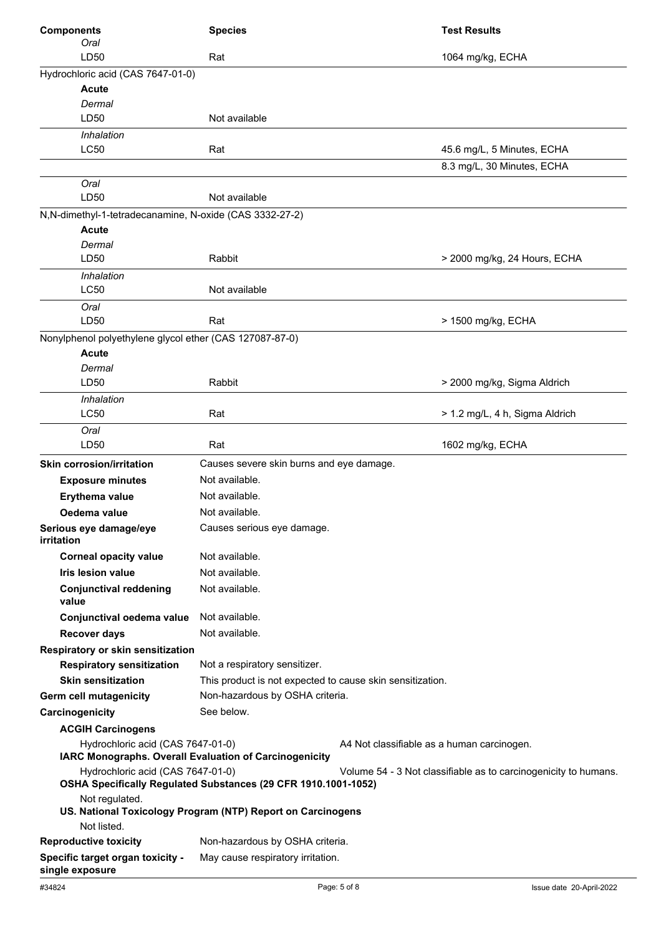| <b>Components</b>                                                                           | <b>Species</b>                                                 |                                            | <b>Test Results</b>                                             |
|---------------------------------------------------------------------------------------------|----------------------------------------------------------------|--------------------------------------------|-----------------------------------------------------------------|
| Oral                                                                                        |                                                                |                                            |                                                                 |
| LD50                                                                                        | Rat                                                            |                                            | 1064 mg/kg, ECHA                                                |
| Hydrochloric acid (CAS 7647-01-0)                                                           |                                                                |                                            |                                                                 |
| <b>Acute</b>                                                                                |                                                                |                                            |                                                                 |
| Dermal                                                                                      |                                                                |                                            |                                                                 |
| LD50                                                                                        | Not available                                                  |                                            |                                                                 |
| Inhalation<br><b>LC50</b>                                                                   | Rat                                                            |                                            | 45.6 mg/L, 5 Minutes, ECHA                                      |
|                                                                                             |                                                                |                                            | 8.3 mg/L, 30 Minutes, ECHA                                      |
| Oral                                                                                        |                                                                |                                            |                                                                 |
| LD50                                                                                        | Not available                                                  |                                            |                                                                 |
| N, N-dimethyl-1-tetradecanamine, N-oxide (CAS 3332-27-2)                                    |                                                                |                                            |                                                                 |
| <b>Acute</b>                                                                                |                                                                |                                            |                                                                 |
| Dermal                                                                                      |                                                                |                                            |                                                                 |
| LD50                                                                                        | Rabbit                                                         |                                            | > 2000 mg/kg, 24 Hours, ECHA                                    |
| Inhalation<br><b>LC50</b>                                                                   | Not available                                                  |                                            |                                                                 |
| Oral                                                                                        |                                                                |                                            |                                                                 |
| LD50                                                                                        | Rat                                                            |                                            | > 1500 mg/kg, ECHA                                              |
| Nonylphenol polyethylene glycol ether (CAS 127087-87-0)                                     |                                                                |                                            |                                                                 |
| Acute                                                                                       |                                                                |                                            |                                                                 |
| Dermal                                                                                      |                                                                |                                            |                                                                 |
| LD50                                                                                        | Rabbit                                                         |                                            | > 2000 mg/kg, Sigma Aldrich                                     |
| Inhalation                                                                                  |                                                                |                                            |                                                                 |
| <b>LC50</b>                                                                                 | Rat                                                            |                                            | > 1.2 mg/L, 4 h, Sigma Aldrich                                  |
| Oral                                                                                        |                                                                |                                            |                                                                 |
| LD50                                                                                        | Rat                                                            |                                            | 1602 mg/kg, ECHA                                                |
| <b>Skin corrosion/irritation</b>                                                            | Causes severe skin burns and eye damage.                       |                                            |                                                                 |
| <b>Exposure minutes</b>                                                                     | Not available.                                                 |                                            |                                                                 |
| Erythema value                                                                              | Not available.                                                 |                                            |                                                                 |
| Oedema value                                                                                | Not available.                                                 |                                            |                                                                 |
| Serious eye damage/eye<br><b>irritation</b>                                                 | Causes serious eye damage.                                     |                                            |                                                                 |
| <b>Corneal opacity value</b>                                                                | Not available.                                                 |                                            |                                                                 |
| <b>Iris lesion value</b>                                                                    | Not available.                                                 |                                            |                                                                 |
| <b>Conjunctival reddening</b><br>value                                                      | Not available.                                                 |                                            |                                                                 |
| Conjunctival oedema value                                                                   | Not available.                                                 |                                            |                                                                 |
|                                                                                             | Not available.                                                 |                                            |                                                                 |
| <b>Recover days</b>                                                                         |                                                                |                                            |                                                                 |
| Respiratory or skin sensitization<br><b>Respiratory sensitization</b>                       | Not a respiratory sensitizer.                                  |                                            |                                                                 |
| <b>Skin sensitization</b>                                                                   | This product is not expected to cause skin sensitization.      |                                            |                                                                 |
|                                                                                             | Non-hazardous by OSHA criteria.                                |                                            |                                                                 |
| Germ cell mutagenicity                                                                      | See below.                                                     |                                            |                                                                 |
| Carcinogenicity                                                                             |                                                                |                                            |                                                                 |
| <b>ACGIH Carcinogens</b>                                                                    |                                                                |                                            |                                                                 |
| Hydrochloric acid (CAS 7647-01-0)<br>IARC Monographs. Overall Evaluation of Carcinogenicity |                                                                | A4 Not classifiable as a human carcinogen. |                                                                 |
| Hydrochloric acid (CAS 7647-01-0)                                                           | OSHA Specifically Regulated Substances (29 CFR 1910.1001-1052) |                                            | Volume 54 - 3 Not classifiable as to carcinogenicity to humans. |
| Not regulated.                                                                              | US. National Toxicology Program (NTP) Report on Carcinogens    |                                            |                                                                 |
| Not listed.                                                                                 |                                                                |                                            |                                                                 |
| <b>Reproductive toxicity</b>                                                                | Non-hazardous by OSHA criteria.                                |                                            |                                                                 |
| Specific target organ toxicity -<br>single exposure                                         | May cause respiratory irritation.                              |                                            |                                                                 |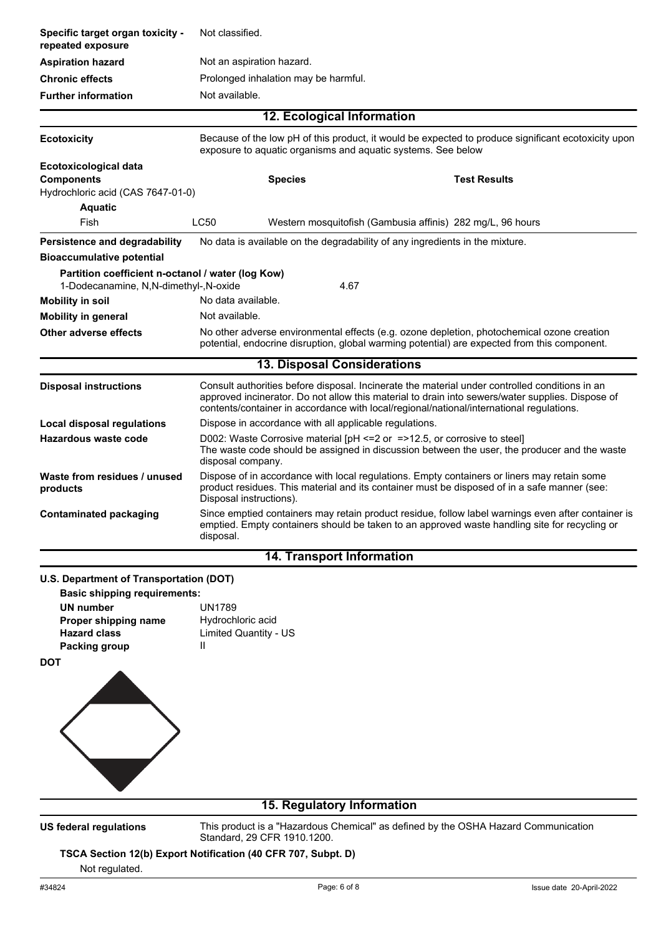| Specific target organ toxicity -<br>repeated exposure                                                 | Not classified.                                                         |                                                                                                                                                                                                                                                                                                |  |
|-------------------------------------------------------------------------------------------------------|-------------------------------------------------------------------------|------------------------------------------------------------------------------------------------------------------------------------------------------------------------------------------------------------------------------------------------------------------------------------------------|--|
| <b>Aspiration hazard</b>                                                                              | Not an aspiration hazard.                                               |                                                                                                                                                                                                                                                                                                |  |
| <b>Chronic effects</b>                                                                                | Prolonged inhalation may be harmful.                                    |                                                                                                                                                                                                                                                                                                |  |
| <b>Further information</b>                                                                            | Not available.                                                          |                                                                                                                                                                                                                                                                                                |  |
|                                                                                                       |                                                                         | 12. Ecological Information                                                                                                                                                                                                                                                                     |  |
| <b>Ecotoxicity</b>                                                                                    |                                                                         | Because of the low pH of this product, it would be expected to produce significant ecotoxicity upon<br>exposure to aquatic organisms and aquatic systems. See below                                                                                                                            |  |
| Ecotoxicological data<br><b>Components</b><br>Hydrochloric acid (CAS 7647-01-0)<br><b>Aquatic</b>     | <b>Species</b>                                                          | <b>Test Results</b>                                                                                                                                                                                                                                                                            |  |
| Fish                                                                                                  | <b>LC50</b>                                                             | Western mosquitofish (Gambusia affinis) 282 mg/L, 96 hours                                                                                                                                                                                                                                     |  |
| Persistence and degradability<br><b>Bioaccumulative potential</b>                                     |                                                                         | No data is available on the degradability of any ingredients in the mixture.                                                                                                                                                                                                                   |  |
| Partition coefficient n-octanol / water (log Kow)<br>1-Dodecanamine, N,N-dimethyl-,N-oxide            |                                                                         | 4.67                                                                                                                                                                                                                                                                                           |  |
| <b>Mobility in soil</b>                                                                               | No data available.                                                      |                                                                                                                                                                                                                                                                                                |  |
| <b>Mobility in general</b>                                                                            | Not available.                                                          |                                                                                                                                                                                                                                                                                                |  |
| <b>Other adverse effects</b>                                                                          |                                                                         | No other adverse environmental effects (e.g. ozone depletion, photochemical ozone creation<br>potential, endocrine disruption, global warming potential) are expected from this component.                                                                                                     |  |
|                                                                                                       |                                                                         | 13. Disposal Considerations                                                                                                                                                                                                                                                                    |  |
| <b>Disposal instructions</b>                                                                          |                                                                         | Consult authorities before disposal. Incinerate the material under controlled conditions in an<br>approved incinerator. Do not allow this material to drain into sewers/water supplies. Dispose of<br>contents/container in accordance with local/regional/national/international regulations. |  |
| <b>Local disposal regulations</b>                                                                     | Dispose in accordance with all applicable regulations.                  |                                                                                                                                                                                                                                                                                                |  |
| Hazardous waste code                                                                                  | disposal company.                                                       | D002: Waste Corrosive material [pH <= 2 or = > 12.5, or corrosive to steel]<br>The waste code should be assigned in discussion between the user, the producer and the waste                                                                                                                    |  |
| Waste from residues / unused<br>products                                                              | Disposal instructions).                                                 | Dispose of in accordance with local regulations. Empty containers or liners may retain some<br>product residues. This material and its container must be disposed of in a safe manner (see:                                                                                                    |  |
| Contaminated packaging                                                                                | disposal.                                                               | Since emptied containers may retain product residue, follow label warnings even after container is<br>emptied. Empty containers should be taken to an approved waste handling site for recycling or                                                                                            |  |
|                                                                                                       |                                                                         | <b>14. Transport Information</b>                                                                                                                                                                                                                                                               |  |
| U.S. Department of Transportation (DOT)<br><b>Basic shipping requirements:</b>                        |                                                                         |                                                                                                                                                                                                                                                                                                |  |
| <b>UN number</b><br>Proper shipping name<br><b>Hazard class</b><br><b>Packing group</b><br><b>DOT</b> | <b>UN1789</b><br>Hydrochloric acid<br><b>Limited Quantity - US</b><br>Ш |                                                                                                                                                                                                                                                                                                |  |
|                                                                                                       |                                                                         | 15. Regulatory Information                                                                                                                                                                                                                                                                     |  |
|                                                                                                       |                                                                         |                                                                                                                                                                                                                                                                                                |  |

**US federal regulations**

This product is a "Hazardous Chemical" as defined by the OSHA Hazard Communication Standard, 29 CFR 1910.1200.

## **TSCA Section 12(b) Export Notification (40 CFR 707, Subpt. D)**

# Not regulated.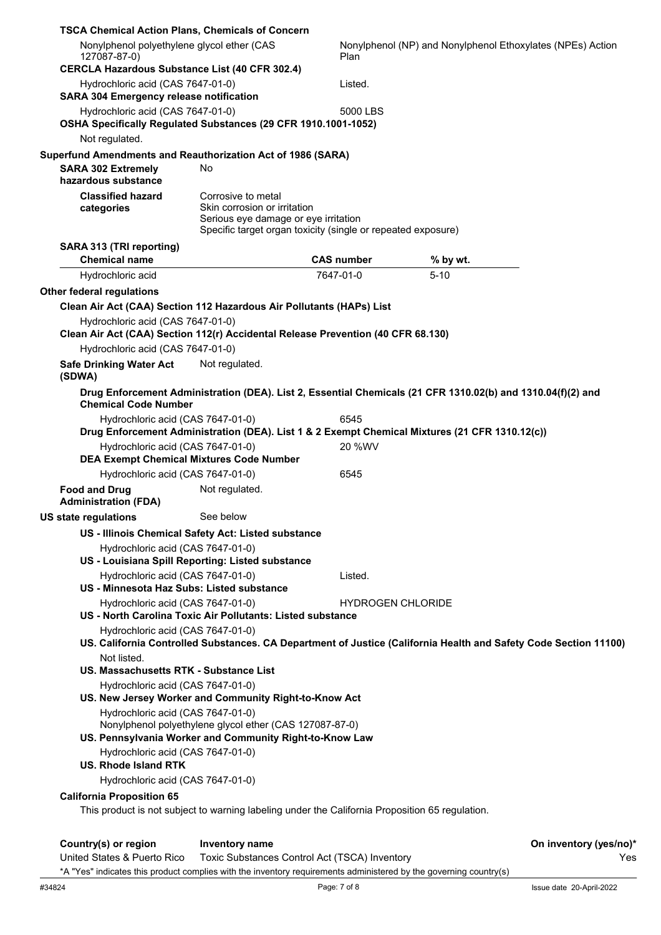| <b>TSCA Chemical Action Plans, Chemicals of Concern</b>                                                               |                                                                                            |                                                              |                                                                                                                  |                               |
|-----------------------------------------------------------------------------------------------------------------------|--------------------------------------------------------------------------------------------|--------------------------------------------------------------|------------------------------------------------------------------------------------------------------------------|-------------------------------|
| Nonylphenol polyethylene glycol ether (CAS<br>127087-87-0)                                                            |                                                                                            | Plan                                                         | Nonylphenol (NP) and Nonylphenol Ethoxylates (NPEs) Action                                                       |                               |
| <b>CERCLA Hazardous Substance List (40 CFR 302.4)</b>                                                                 |                                                                                            |                                                              |                                                                                                                  |                               |
| Hydrochloric acid (CAS 7647-01-0)<br><b>SARA 304 Emergency release notification</b>                                   |                                                                                            | Listed.                                                      |                                                                                                                  |                               |
| Hydrochloric acid (CAS 7647-01-0)                                                                                     |                                                                                            | 5000 LBS                                                     |                                                                                                                  |                               |
| OSHA Specifically Regulated Substances (29 CFR 1910.1001-1052)                                                        |                                                                                            |                                                              |                                                                                                                  |                               |
| Not regulated.                                                                                                        |                                                                                            |                                                              |                                                                                                                  |                               |
| Superfund Amendments and Reauthorization Act of 1986 (SARA)                                                           |                                                                                            |                                                              |                                                                                                                  |                               |
| <b>SARA 302 Extremely</b><br>hazardous substance                                                                      | No.                                                                                        |                                                              |                                                                                                                  |                               |
| <b>Classified hazard</b><br>categories                                                                                | Corrosive to metal<br>Skin corrosion or irritation<br>Serious eye damage or eye irritation | Specific target organ toxicity (single or repeated exposure) |                                                                                                                  |                               |
| SARA 313 (TRI reporting)                                                                                              |                                                                                            |                                                              |                                                                                                                  |                               |
| <b>Chemical name</b>                                                                                                  |                                                                                            | <b>CAS number</b>                                            | % by wt.                                                                                                         |                               |
| Hydrochloric acid                                                                                                     |                                                                                            | 7647-01-0                                                    | $5 - 10$                                                                                                         |                               |
| <b>Other federal regulations</b>                                                                                      |                                                                                            |                                                              |                                                                                                                  |                               |
| Clean Air Act (CAA) Section 112 Hazardous Air Pollutants (HAPs) List                                                  |                                                                                            |                                                              |                                                                                                                  |                               |
| Hydrochloric acid (CAS 7647-01-0)<br>Clean Air Act (CAA) Section 112(r) Accidental Release Prevention (40 CFR 68.130) |                                                                                            |                                                              |                                                                                                                  |                               |
| Hydrochloric acid (CAS 7647-01-0)                                                                                     |                                                                                            |                                                              |                                                                                                                  |                               |
| <b>Safe Drinking Water Act</b><br>(SDWA)                                                                              | Not regulated.                                                                             |                                                              |                                                                                                                  |                               |
| <b>Chemical Code Number</b>                                                                                           |                                                                                            |                                                              | Drug Enforcement Administration (DEA). List 2, Essential Chemicals (21 CFR 1310.02(b) and 1310.04(f)(2) and      |                               |
| Hydrochloric acid (CAS 7647-01-0)                                                                                     |                                                                                            | 6545                                                         |                                                                                                                  |                               |
|                                                                                                                       |                                                                                            |                                                              | Drug Enforcement Administration (DEA). List 1 & 2 Exempt Chemical Mixtures (21 CFR 1310.12(c))                   |                               |
| Hydrochloric acid (CAS 7647-01-0)<br><b>DEA Exempt Chemical Mixtures Code Number</b>                                  |                                                                                            | 20 %WV                                                       |                                                                                                                  |                               |
| Hydrochloric acid (CAS 7647-01-0)                                                                                     |                                                                                            | 6545                                                         |                                                                                                                  |                               |
| <b>Food and Drug</b><br><b>Administration (FDA)</b>                                                                   | Not regulated.                                                                             |                                                              |                                                                                                                  |                               |
| <b>US state regulations</b>                                                                                           | See below                                                                                  |                                                              |                                                                                                                  |                               |
| US - Illinois Chemical Safety Act: Listed substance                                                                   |                                                                                            |                                                              |                                                                                                                  |                               |
| Hydrochloric acid (CAS 7647-01-0)                                                                                     |                                                                                            |                                                              |                                                                                                                  |                               |
| US - Louisiana Spill Reporting: Listed substance                                                                      |                                                                                            |                                                              |                                                                                                                  |                               |
| Hydrochloric acid (CAS 7647-01-0)<br>US - Minnesota Haz Subs: Listed substance                                        |                                                                                            | Listed.                                                      |                                                                                                                  |                               |
| Hydrochloric acid (CAS 7647-01-0)                                                                                     |                                                                                            | <b>HYDROGEN CHLORIDE</b>                                     |                                                                                                                  |                               |
| US - North Carolina Toxic Air Pollutants: Listed substance                                                            |                                                                                            |                                                              |                                                                                                                  |                               |
| Hydrochloric acid (CAS 7647-01-0)                                                                                     |                                                                                            |                                                              |                                                                                                                  |                               |
| Not listed.                                                                                                           |                                                                                            |                                                              | US. California Controlled Substances. CA Department of Justice (California Health and Safety Code Section 11100) |                               |
| <b>US. Massachusetts RTK - Substance List</b>                                                                         |                                                                                            |                                                              |                                                                                                                  |                               |
| Hydrochloric acid (CAS 7647-01-0)                                                                                     |                                                                                            |                                                              |                                                                                                                  |                               |
| US. New Jersey Worker and Community Right-to-Know Act                                                                 |                                                                                            |                                                              |                                                                                                                  |                               |
| Hydrochloric acid (CAS 7647-01-0)                                                                                     | Nonylphenol polyethylene glycol ether (CAS 127087-87-0)                                    |                                                              |                                                                                                                  |                               |
| US. Pennsylvania Worker and Community Right-to-Know Law                                                               |                                                                                            |                                                              |                                                                                                                  |                               |
| Hydrochloric acid (CAS 7647-01-0)                                                                                     |                                                                                            |                                                              |                                                                                                                  |                               |
| <b>US. Rhode Island RTK</b>                                                                                           |                                                                                            |                                                              |                                                                                                                  |                               |
| Hydrochloric acid (CAS 7647-01-0)                                                                                     |                                                                                            |                                                              |                                                                                                                  |                               |
| <b>California Proposition 65</b>                                                                                      |                                                                                            |                                                              |                                                                                                                  |                               |
| This product is not subject to warning labeling under the California Proposition 65 regulation.                       |                                                                                            |                                                              |                                                                                                                  |                               |
|                                                                                                                       |                                                                                            |                                                              |                                                                                                                  |                               |
| Country(s) or region<br>United States & Puerto Rico                                                                   | <b>Inventory name</b>                                                                      | Toxic Substances Control Act (TSCA) Inventory                |                                                                                                                  | On inventory (yes/no)*<br>Yes |
|                                                                                                                       |                                                                                            |                                                              |                                                                                                                  |                               |

\*A "Yes" indicates this product complies with the inventory requirements administered by the governing country(s)